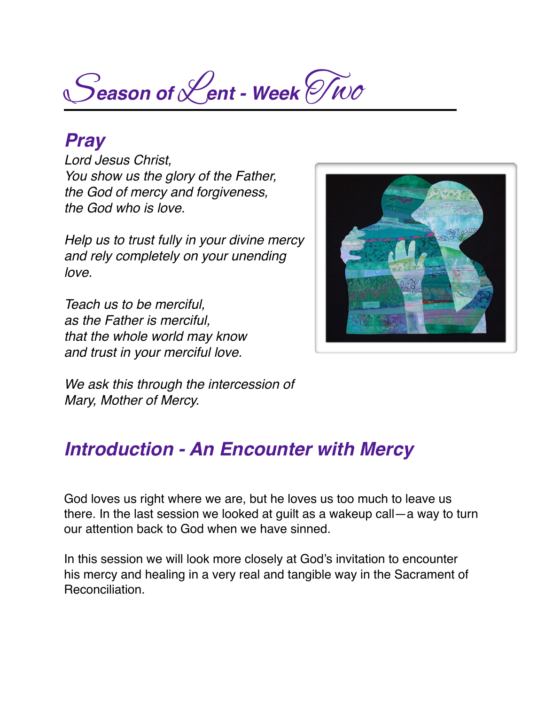S*eason of* L*ent - Week* Two

#### *Pray*

*Lord Jesus Christ, You show us the glory of the Father, the God of mercy and forgiveness, the God who is love.*

*Help us to trust fully in your divine mercy and rely completely on your unending love.*

*Teach us to be merciful, as the Father is merciful, that the whole world may know and trust in your merciful love.*



*We ask this through the intercession of Mary, Mother of Mercy.*

### *Introduction - An Encounter with Mercy*

God loves us right where we are, but he loves us too much to leave us there. In the last session we looked at guilt as a wakeup call—a way to turn our attention back to God when we have sinned.

In this session we will look more closely at God's invitation to encounter his mercy and healing in a very real and tangible way in the Sacrament of Reconciliation.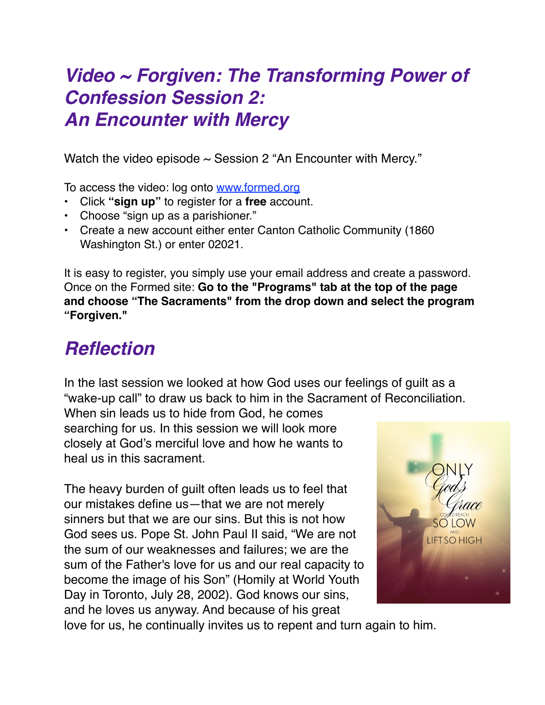## *Video ~ Forgiven: The Transforming Power of Confession Session 2: An Encounter with Mercy*

Watch the video episode  $\sim$  Session 2 "An Encounter with Mercy."

To access the video: log onto [www.formed.org](http://www.formed.org/)

- Click **"sign up"** to register for a **free** account.
- Choose "sign up as a parishioner."
- Create a new account either enter Canton Catholic Community (1860 Washington St.) or enter 02021.

It is easy to register, you simply use your email address and create a password. Once on the Formed site: **Go to the "Programs" tab at the top of the page and choose "The Sacraments" from the drop down and select the program "Forgiven."**

# *Reflection*

In the last session we looked at how God uses our feelings of guilt as a "wake-up call" to draw us back to him in the Sacrament of Reconciliation.

When sin leads us to hide from God, he comes searching for us. In this session we will look more closely at God's merciful love and how he wants to heal us in this sacrament.

The heavy burden of guilt often leads us to feel that our mistakes define us—that we are not merely sinners but that we are our sins. But this is not how God sees us. Pope St. John Paul II said, "We are not the sum of our weaknesses and failures; we are the sum of the Father's love for us and our real capacity to become the image of his Son" (Homily at World Youth Day in Toronto, July 28, 2002). God knows our sins, and he loves us anyway. And because of his great



love for us, he continually invites us to repent and turn again to him.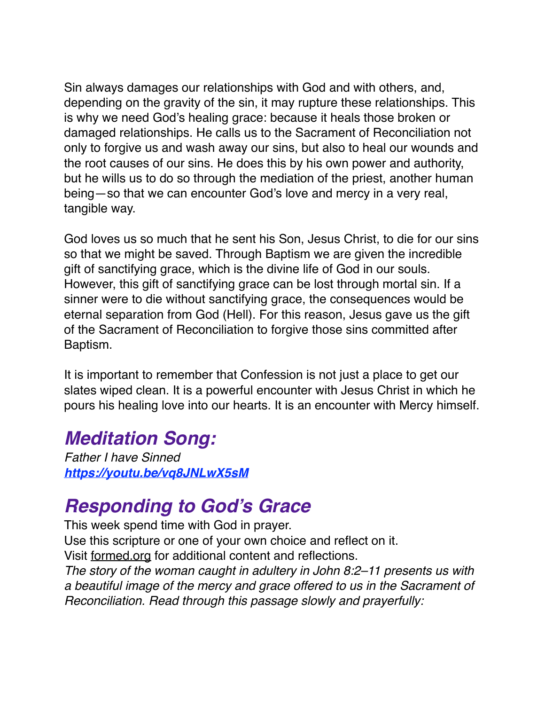Sin always damages our relationships with God and with others, and, depending on the gravity of the sin, it may rupture these relationships. This is why we need God's healing grace: because it heals those broken or damaged relationships. He calls us to the Sacrament of Reconciliation not only to forgive us and wash away our sins, but also to heal our wounds and the root causes of our sins. He does this by his own power and authority, but he wills us to do so through the mediation of the priest, another human being—so that we can encounter God's love and mercy in a very real, tangible way.

God loves us so much that he sent his Son, Jesus Christ, to die for our sins so that we might be saved. Through Baptism we are given the incredible gift of sanctifying grace, which is the divine life of God in our souls. However, this gift of sanctifying grace can be lost through mortal sin. If a sinner were to die without sanctifying grace, the consequences would be eternal separation from God (Hell). For this reason, Jesus gave us the gift of the Sacrament of Reconciliation to forgive those sins committed after Baptism.

It is important to remember that Confession is not just a place to get our slates wiped clean. It is a powerful encounter with Jesus Christ in which he pours his healing love into our hearts. It is an encounter with Mercy himself.

## *Meditation Song:*

*Father I have Sinned <https://youtu.be/vq8JNLwX5sM>*

## *Responding to God's Grace*

This week spend time with God in prayer. Use this scripture or one of your own choice and reflect on it. Visit [formed.org](http://formed.org) for additional content and reflections. *The story of the woman caught in adultery in John 8:2–11 presents us with a beautiful image of the mercy and grace offered to us in the Sacrament of Reconciliation. Read through this passage slowly and prayerfully:*